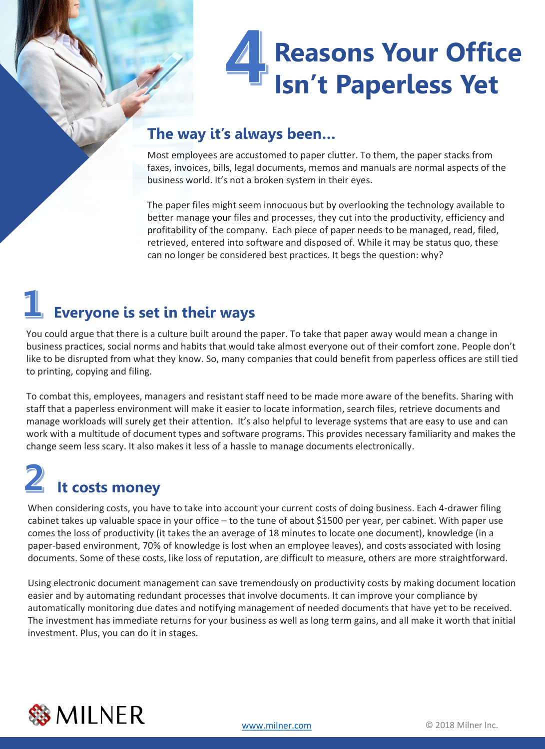# **Reasons Your Office Isn't Paperless Yet**

#### **The way it's always been…**

Most employees are accustomed to paper clutter. To them, the paper stacks from faxes, invoices, bills, legal documents, memos and manuals are normal aspects of the business world. It's not a broken system in their eyes.

The paper files might seem innocuous but by overlooking the technology available to better manage your files and processes, they cut into the productivity, efficiency and profitability of the company. Each piece of paper needs to be managed, read, filed, retrieved, entered into software and disposed of. While it may be status quo, these can no longer be considered best practices. It begs the question: why?

#### **Everyone is set in their ways**

You could argue that there is a culture built around the paper. To take that paper away would mean a change in business practices, social norms and habits that would take almost everyone out of their comfort zone. People don't like to be disrupted from what they know. So, many companies that could benefit from paperless offices are still tied to printing, copying and filing.

To combat this, employees, managers and resistant staff need to be made more aware of the benefits. Sharing with staff that a paperless environment will make it easier to locate information, search files, retrieve documents and manage workloads will surely get their attention. It's also helpful to leverage systems that are easy to use and can work with a multitude of document types and software programs. This provides necessary familiarity and makes the change seem less scary. It also makes it less of a hassle to manage documents electronically.

### **It costs money**

When considering costs, you have to take into account your current costs of doing business. Each 4-drawer filing cabinet takes up valuable space in your office – to the tune of about \$1500 per year, per cabinet. With paper use comes the loss of productivity (it takes the an average of 18 minutes to locate one document), knowledge (in a paper-based environment, 70% of knowledge is lost when an employee leaves), and costs associated with losing documents. Some of these costs, like loss of reputation, are difficult to measure, others are more straightforward.

Using electronic document management can save tremendously on productivity costs by making document location easier and by automating redundant processes that involve documents. It can improve your compliance by automatically monitoring due dates and notifying management of needed documents that have yet to be received. The investment has immediate returns for your business as well as long term gains, and all make it worth that initial investment. Plus, you can do it in stages.